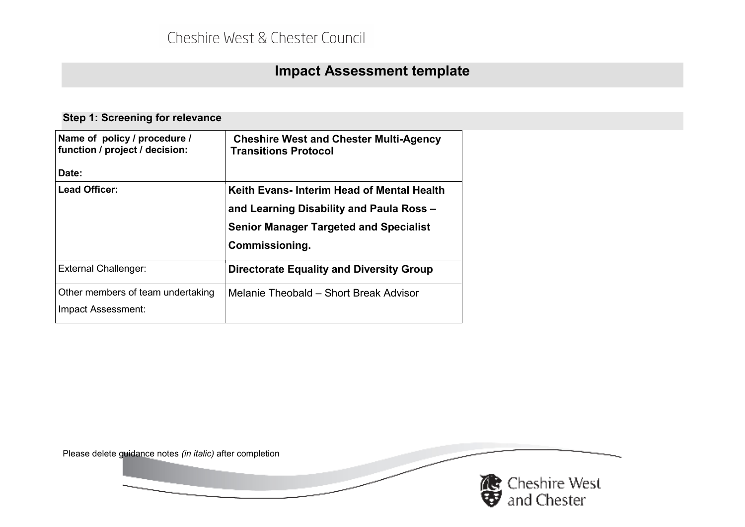# **Impact Assessment template**

| Name of policy / procedure /<br>function / project / decision: | <b>Cheshire West and Chester Multi-Agency</b><br><b>Transitions Protocol</b>                                                                             |
|----------------------------------------------------------------|----------------------------------------------------------------------------------------------------------------------------------------------------------|
| Date:                                                          |                                                                                                                                                          |
| Lead Officer:                                                  | Keith Evans-Interim Head of Mental Health<br>and Learning Disability and Paula Ross -<br><b>Senior Manager Targeted and Specialist</b><br>Commissioning. |
| <b>External Challenger:</b>                                    | <b>Directorate Equality and Diversity Group</b>                                                                                                          |
| Other members of team undertaking<br>Impact Assessment:        | Melanie Theobald - Short Break Advisor                                                                                                                   |

#### **Step 1: Screening for relevance**

Please delete guidance notes *(in italic)* after completion

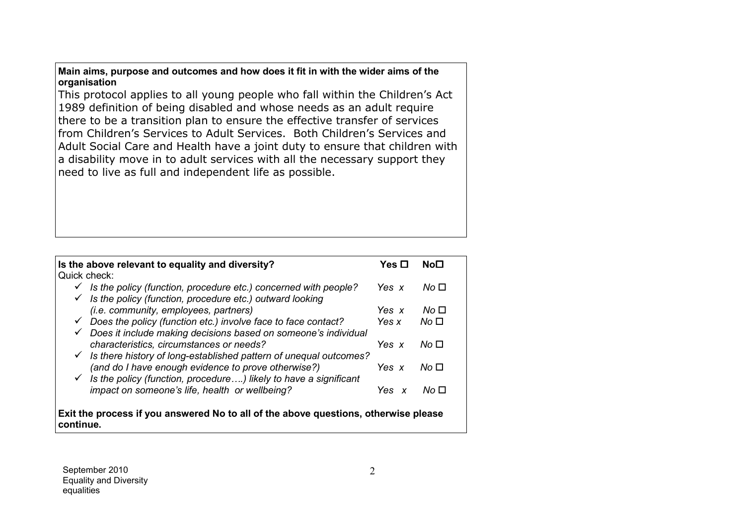**Main aims, purpose and outcomes and how does it fit in with the wider aims of the organisation**

This protocol applies to all young people who fall within the Children's Act 1989 definition of being disabled and whose needs as an adult require there to be a transition plan to ensure the effective transfer of services from Children's Services to Adult Services. Both Children's Services and Adult Social Care and Health have <sup>a</sup> joint duty to ensure that children with a disability move in to adult services with all the necessary support they need to live as full and independent life as possible.

| Is the above relevant to equality and diversity?                                                 | Yes ⊡   | No⊟             |  |
|--------------------------------------------------------------------------------------------------|---------|-----------------|--|
| Quick check:                                                                                     |         |                 |  |
| $\checkmark$ Is the policy (function, procedure etc.) concerned with people?                     | Yes x   | No <sub>π</sub> |  |
| $\checkmark$ Is the policy (function, procedure etc.) outward looking                            |         |                 |  |
| <i>(i.e. community, employees, partners)</i>                                                     | Yes $x$ | No □            |  |
| $\checkmark$ Does the policy (function etc.) involve face to face contact?                       | Yes x   | No <sub>1</sub> |  |
| $\checkmark$ Does it include making decisions based on someone's individual                      |         |                 |  |
| characteristics, circumstances or needs?                                                         | Yes x   | No ⊓            |  |
| $\checkmark$ Is there history of long-established pattern of unequal outcomes?                   |         |                 |  |
| (and do I have enough evidence to prove otherwise?)                                              | Yes x   | No ⊓            |  |
| $\checkmark$ Is the policy (function, procedure) likely to have a significant                    |         |                 |  |
| impact on someone's life, health or wellbeing?                                                   | Yes x   | No □            |  |
| Exit the process if you answered No to all of the above questions, otherwise please<br>continue. |         |                 |  |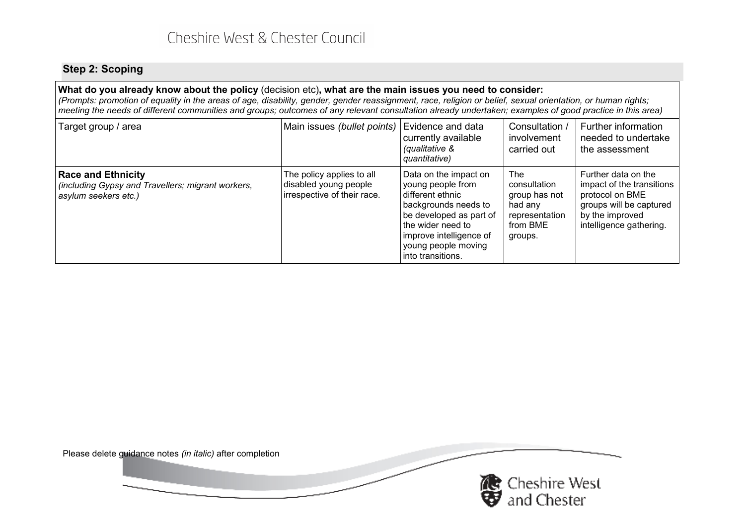## Cheshire West & Chester Council

#### **Step 2: Scoping**

#### What do you already know about the policy (decision etc), what are the main issues you need to consider:  $\,$

(Prompts: promotion of equality in the areas of age, disability, gender, gender reassignment, race, religion or belief, sexual orientation, or human rights; meeting the needs of different communities and groups; outcomes of any relevant consultation already undertaken; examples of good practice in this area)

| Target group / area                                                                                    | Main issues (bullet points)                                                       | Evidence and data<br>currently available<br>(qualitative &<br>quantitative)                                                                                                                                     | Consultation /<br>involvement<br>carried out                                             | Further information<br>needed to undertake<br>the assessment                                                                                 |
|--------------------------------------------------------------------------------------------------------|-----------------------------------------------------------------------------------|-----------------------------------------------------------------------------------------------------------------------------------------------------------------------------------------------------------------|------------------------------------------------------------------------------------------|----------------------------------------------------------------------------------------------------------------------------------------------|
| <b>Race and Ethnicity</b><br>(including Gypsy and Travellers; migrant workers,<br>asylum seekers etc.) | The policy applies to all<br>disabled young people<br>irrespective of their race. | Data on the impact on<br>young people from<br>l different ethnic<br>backgrounds needs to<br>be developed as part of<br>the wider need to<br>improve intelligence of<br>young people moving<br>into transitions. | The<br>consultation<br>group has not<br>had anv<br>representation<br>from BME<br>groups. | Further data on the<br>impact of the transitions<br>protocol on BME<br>groups will be captured<br>by the improved<br>intelligence gathering. |

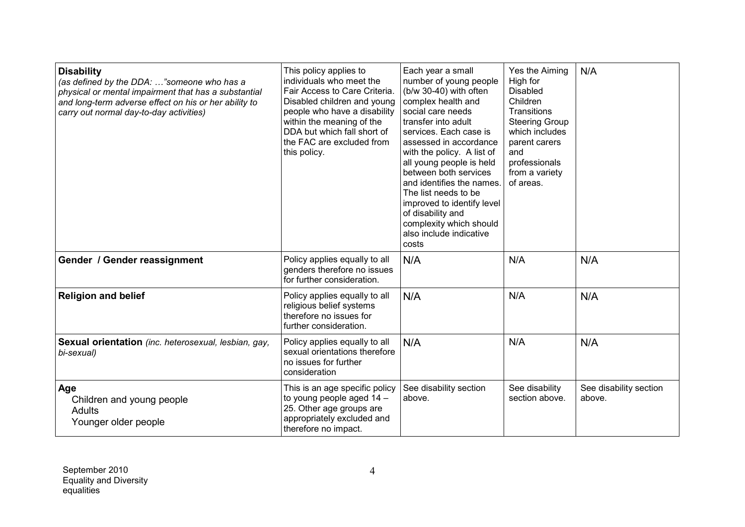| <b>Disability</b><br>(as defined by the DDA: "someone who has a<br>physical or mental impairment that has a substantial<br>and long-term adverse effect on his or her ability to<br>carry out normal day-to-day activities) | This policy applies to<br>individuals who meet the<br>Fair Access to Care Criteria.<br>Disabled children and young<br>people who have a disability<br>within the meaning of the<br>DDA but which fall short of<br>the FAC are excluded from<br>this policy. | Each year a small<br>number of young people<br>(b/w 30-40) with often<br>complex health and<br>social care needs<br>transfer into adult<br>services. Each case is<br>assessed in accordance<br>with the policy. A list of<br>all young people is held<br>between both services<br>and identifies the names.<br>The list needs to be<br>improved to identify level<br>of disability and<br>complexity which should<br>also include indicative<br>costs | Yes the Aiming<br>High for<br><b>Disabled</b><br>Children<br>Transitions<br><b>Steering Group</b><br>which includes<br>parent carers<br>and<br>professionals<br>from a variety<br>of areas. | N/A                              |
|-----------------------------------------------------------------------------------------------------------------------------------------------------------------------------------------------------------------------------|-------------------------------------------------------------------------------------------------------------------------------------------------------------------------------------------------------------------------------------------------------------|-------------------------------------------------------------------------------------------------------------------------------------------------------------------------------------------------------------------------------------------------------------------------------------------------------------------------------------------------------------------------------------------------------------------------------------------------------|---------------------------------------------------------------------------------------------------------------------------------------------------------------------------------------------|----------------------------------|
| Gender / Gender reassignment                                                                                                                                                                                                | Policy applies equally to all<br>genders therefore no issues<br>for further consideration.                                                                                                                                                                  | N/A                                                                                                                                                                                                                                                                                                                                                                                                                                                   | N/A                                                                                                                                                                                         | N/A                              |
| <b>Religion and belief</b>                                                                                                                                                                                                  | Policy applies equally to all<br>religious belief systems<br>therefore no issues for<br>further consideration.                                                                                                                                              | N/A                                                                                                                                                                                                                                                                                                                                                                                                                                                   | N/A                                                                                                                                                                                         | N/A                              |
| Sexual orientation (inc. heterosexual, lesbian, gay,<br>bi-sexual)                                                                                                                                                          | Policy applies equally to all<br>sexual orientations therefore<br>no issues for further<br>consideration                                                                                                                                                    | N/A                                                                                                                                                                                                                                                                                                                                                                                                                                                   | N/A                                                                                                                                                                                         | N/A                              |
| Age<br>Children and young people<br>Adults<br>Younger older people                                                                                                                                                          | This is an age specific policy<br>to young people aged 14 -<br>25. Other age groups are<br>appropriately excluded and<br>therefore no impact.                                                                                                               | See disability section<br>above.                                                                                                                                                                                                                                                                                                                                                                                                                      | See disability<br>section above.                                                                                                                                                            | See disability section<br>above. |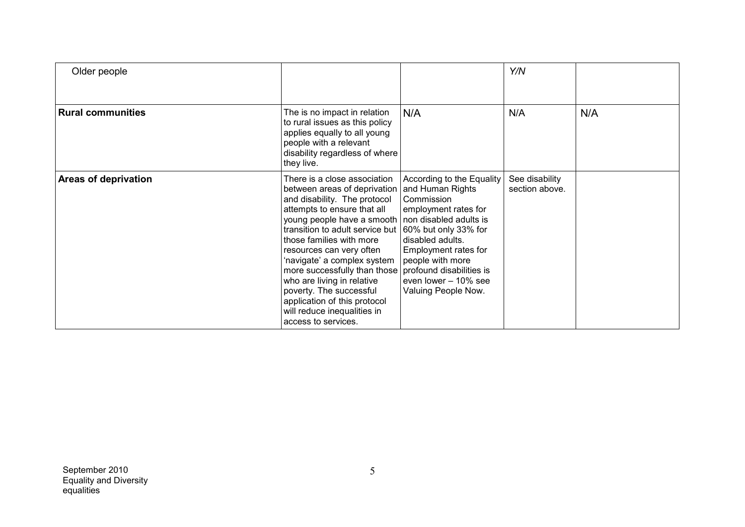| Older people             |                                                                                                                                                                                                                                                                                                                                                                                                                                                                    |                                                                                                                                                                                                                                                                                  | Y/N                              |     |
|--------------------------|--------------------------------------------------------------------------------------------------------------------------------------------------------------------------------------------------------------------------------------------------------------------------------------------------------------------------------------------------------------------------------------------------------------------------------------------------------------------|----------------------------------------------------------------------------------------------------------------------------------------------------------------------------------------------------------------------------------------------------------------------------------|----------------------------------|-----|
| <b>Rural communities</b> | The is no impact in relation<br>to rural issues as this policy<br>applies equally to all young<br>people with a relevant<br>disability regardless of where<br>they live.                                                                                                                                                                                                                                                                                           | N/A                                                                                                                                                                                                                                                                              | N/A                              | N/A |
| Areas of deprivation     | There is a close association<br>between areas of deprivation<br>and disability. The protocol<br>attempts to ensure that all<br>young people have a smooth<br>transition to adult service but<br>those families with more<br>resources can very often<br>'navigate' a complex system<br>more successfully than those<br>who are living in relative<br>poverty. The successful<br>application of this protocol<br>will reduce inequalities in<br>access to services. | According to the Equality<br>and Human Rights<br>Commission<br>employment rates for<br>non disabled adults is<br>60% but only 33% for<br>disabled adults.<br>Employment rates for<br>people with more<br>profound disabilities is<br>even lower - 10% see<br>Valuing People Now. | See disability<br>section above. |     |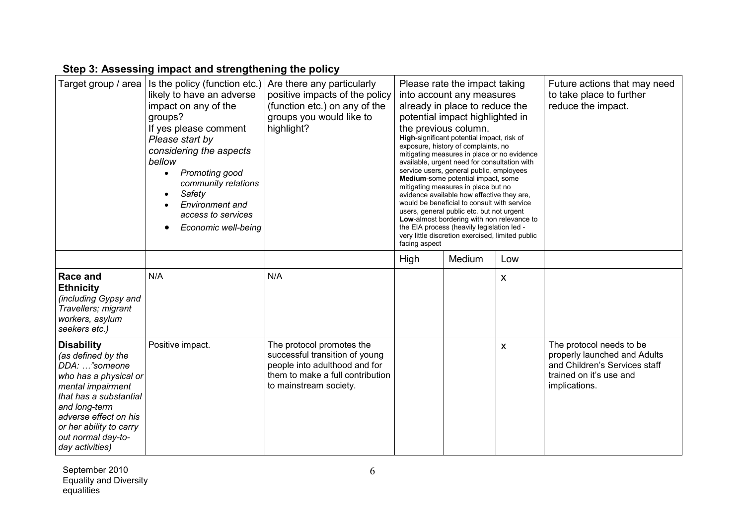#### **Step 3: Assessing impact and strengthening the policy**

|                                                                                                                                                                                                                                                  | Target group / area   Is the policy (function etc.)<br>likely to have an adverse<br>impact on any of the<br>groups?<br>If yes please comment<br>Please start by<br>considering the aspects<br>bellow<br>Promoting good<br>$\bullet$<br>community relations<br>Safety<br><b>Environment</b> and<br>access to services<br>Economic well-being | Are there any particularly<br>positive impacts of the policy<br>(function etc.) on any of the<br>groups you would like to<br>highlight?                    | facing aspect | Please rate the impact taking<br>into account any measures<br>already in place to reduce the<br>potential impact highlighted in<br>the previous column.<br>High-significant potential impact, risk of<br>exposure, history of complaints, no<br>mitigating measures in place or no evidence<br>available, urgent need for consultation with<br>service users, general public, employees<br>Medium-some potential impact, some<br>mitigating measures in place but no<br>evidence available how effective they are,<br>would be beneficial to consult with service<br>users, general public etc. but not urgent<br>Low-almost bordering with non relevance to<br>the EIA process (heavily legislation led -<br>very little discretion exercised, limited public |     | Future actions that may need<br>to take place to further<br>reduce the impact.                                                        |
|--------------------------------------------------------------------------------------------------------------------------------------------------------------------------------------------------------------------------------------------------|---------------------------------------------------------------------------------------------------------------------------------------------------------------------------------------------------------------------------------------------------------------------------------------------------------------------------------------------|------------------------------------------------------------------------------------------------------------------------------------------------------------|---------------|----------------------------------------------------------------------------------------------------------------------------------------------------------------------------------------------------------------------------------------------------------------------------------------------------------------------------------------------------------------------------------------------------------------------------------------------------------------------------------------------------------------------------------------------------------------------------------------------------------------------------------------------------------------------------------------------------------------------------------------------------------------|-----|---------------------------------------------------------------------------------------------------------------------------------------|
|                                                                                                                                                                                                                                                  |                                                                                                                                                                                                                                                                                                                                             |                                                                                                                                                            | High          | Medium                                                                                                                                                                                                                                                                                                                                                                                                                                                                                                                                                                                                                                                                                                                                                         | Low |                                                                                                                                       |
| <b>Race and</b><br><b>Ethnicity</b><br>(including Gypsy and<br>Travellers; migrant<br>workers, asylum<br>seekers etc.)                                                                                                                           | N/A                                                                                                                                                                                                                                                                                                                                         | N/A                                                                                                                                                        |               |                                                                                                                                                                                                                                                                                                                                                                                                                                                                                                                                                                                                                                                                                                                                                                | X   |                                                                                                                                       |
| <b>Disability</b><br>(as defined by the<br>DDA: "someone<br>who has a physical or<br>mental impairment<br>  that has a substantial<br>and long-term<br>adverse effect on his<br>or her ability to carry<br>out normal day-to-<br>day activities) | Positive impact.                                                                                                                                                                                                                                                                                                                            | The protocol promotes the<br>successful transition of young<br>people into adulthood and for<br>them to make a full contribution<br>to mainstream society. |               |                                                                                                                                                                                                                                                                                                                                                                                                                                                                                                                                                                                                                                                                                                                                                                | X   | The protocol needs to be<br>properly launched and Adults<br>and Children's Services staff<br>trained on it's use and<br>implications. |

September 2010  $\qquad \qquad 6$ Equality and Diversity equalities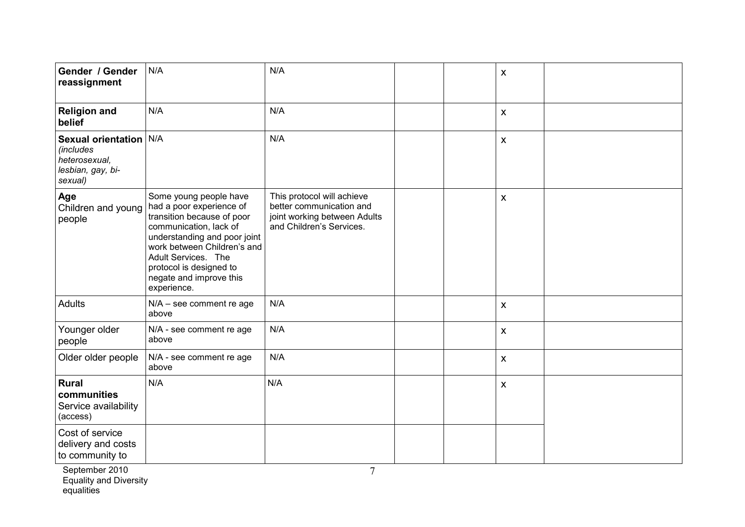| Gender / Gender<br>reassignment                                                             | N/A                                                                                                                                                                                                                                                                                        | N/A                                                                                                                | $\pmb{\mathsf{X}}$ |  |
|---------------------------------------------------------------------------------------------|--------------------------------------------------------------------------------------------------------------------------------------------------------------------------------------------------------------------------------------------------------------------------------------------|--------------------------------------------------------------------------------------------------------------------|--------------------|--|
| <b>Religion and</b><br>belief                                                               | N/A                                                                                                                                                                                                                                                                                        | N/A                                                                                                                | $\mathsf{x}$       |  |
| Sexual orientation N/A<br><i>(includes</i><br>heterosexual,<br>lesbian, gay, bi-<br>sexual) |                                                                                                                                                                                                                                                                                            | N/A                                                                                                                | $\mathsf{x}$       |  |
| Age<br>people                                                                               | Some young people have<br>Children and young   had a poor experience of<br>transition because of poor<br>communication, lack of<br>understanding and poor joint<br>work between Children's and<br>Adult Services. The<br>protocol is designed to<br>negate and improve this<br>experience. | This protocol will achieve<br>better communication and<br>joint working between Adults<br>and Children's Services. | $\pmb{\mathsf{X}}$ |  |
| Adults                                                                                      | $N/A -$ see comment re age<br>above                                                                                                                                                                                                                                                        | N/A                                                                                                                | $\mathsf{x}$       |  |
| Younger older<br>people                                                                     | N/A - see comment re age<br>above                                                                                                                                                                                                                                                          | N/A                                                                                                                | $\pmb{\mathsf{X}}$ |  |
| Older older people                                                                          | N/A - see comment re age<br>above                                                                                                                                                                                                                                                          | N/A                                                                                                                | $\pmb{\mathsf{X}}$ |  |
| <b>Rural</b><br>communities<br>Service availability<br>(access)                             | N/A                                                                                                                                                                                                                                                                                        | N/A                                                                                                                | $\mathsf{x}$       |  |
| Cost of service<br>delivery and costs<br>to community to                                    |                                                                                                                                                                                                                                                                                            |                                                                                                                    |                    |  |

September 2010  $\hphantom{\int^{P^P}_{P_P}}3P_P=2010$ Equality and Diversity equalities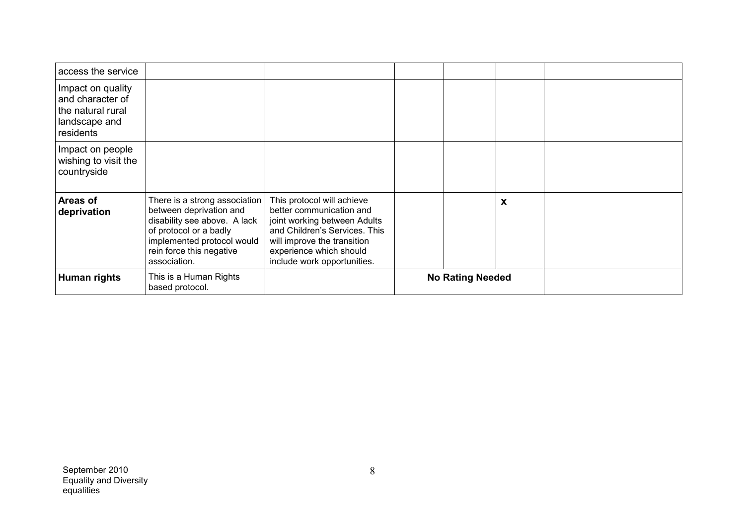| access the service                                                                       |                                                                                                                                                                                              |                                                                                                                                                                                                                  |                         |   |  |
|------------------------------------------------------------------------------------------|----------------------------------------------------------------------------------------------------------------------------------------------------------------------------------------------|------------------------------------------------------------------------------------------------------------------------------------------------------------------------------------------------------------------|-------------------------|---|--|
| Impact on quality<br>and character of<br>the natural rural<br>landscape and<br>residents |                                                                                                                                                                                              |                                                                                                                                                                                                                  |                         |   |  |
| Impact on people<br>wishing to visit the<br>countryside                                  |                                                                                                                                                                                              |                                                                                                                                                                                                                  |                         |   |  |
| <b>Areas of</b><br>deprivation                                                           | There is a strong association<br>between deprivation and<br>disability see above. A lack<br>of protocol or a badly<br>implemented protocol would<br>rein force this negative<br>association. | This protocol will achieve<br>better communication and<br>joint working between Adults<br>and Children's Services. This<br>will improve the transition<br>experience which should<br>include work opportunities. |                         | X |  |
| Human rights                                                                             | This is a Human Rights<br>based protocol.                                                                                                                                                    |                                                                                                                                                                                                                  | <b>No Rating Needed</b> |   |  |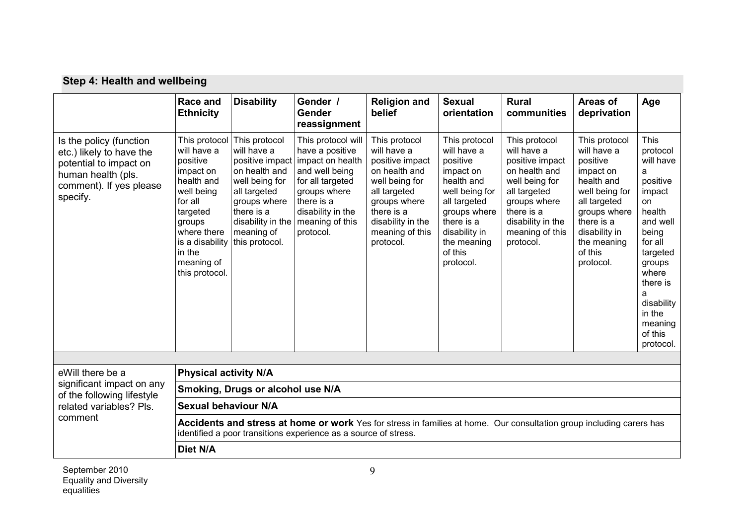| Step 4: Health and wellbeing |  |  |  |  |
|------------------------------|--|--|--|--|
|------------------------------|--|--|--|--|

|                                                                                                                                            | <b>Race and</b><br><b>Ethnicity</b>                                                                                                                                                                           | <b>Disability</b>                                                                                                                                                   | Gender /<br><b>Gender</b><br>reassignment                                                                                                                                          | <b>Religion and</b><br>belief                                                                                                                                                         | <b>Sexual</b><br>orientation                                                                                                                                                                | <b>Rural</b><br>communities                                                                                                                                                           | Areas of<br>deprivation                                                                                                                                                                     | Age                                                                                                                                                                                                                 |
|--------------------------------------------------------------------------------------------------------------------------------------------|---------------------------------------------------------------------------------------------------------------------------------------------------------------------------------------------------------------|---------------------------------------------------------------------------------------------------------------------------------------------------------------------|------------------------------------------------------------------------------------------------------------------------------------------------------------------------------------|---------------------------------------------------------------------------------------------------------------------------------------------------------------------------------------|---------------------------------------------------------------------------------------------------------------------------------------------------------------------------------------------|---------------------------------------------------------------------------------------------------------------------------------------------------------------------------------------|---------------------------------------------------------------------------------------------------------------------------------------------------------------------------------------------|---------------------------------------------------------------------------------------------------------------------------------------------------------------------------------------------------------------------|
| Is the policy (function<br>etc.) likely to have the<br>potential to impact on<br>human health (pls.<br>comment). If yes please<br>specify. | This protocol<br>will have a<br>positive<br>impact on<br>health and<br>well being<br>for all<br>targeted<br>groups<br>where there<br>is a disability this protocol.<br>in the<br>meaning of<br>this protocol. | This protocol<br>will have a<br>positive impact<br>on health and<br>well being for<br>all targeted<br>groups where<br>there is a<br>disability in the<br>meaning of | This protocol will<br>have a positive<br>impact on health<br>and well being<br>for all targeted<br>groups where<br>there is a<br>disability in the<br>meaning of this<br>protocol. | This protocol<br>will have a<br>positive impact<br>on health and<br>well being for<br>all targeted<br>groups where<br>there is a<br>disability in the<br>meaning of this<br>protocol. | This protocol<br>will have a<br>positive<br>impact on<br>health and<br>well being for<br>all targeted<br>groups where<br>there is a<br>disability in<br>the meaning<br>of this<br>protocol. | This protocol<br>will have a<br>positive impact<br>on health and<br>well being for<br>all targeted<br>groups where<br>there is a<br>disability in the<br>meaning of this<br>protocol. | This protocol<br>will have a<br>positive<br>impact on<br>health and<br>well being for<br>all targeted<br>groups where<br>there is a<br>disability in<br>the meaning<br>of this<br>protocol. | This<br>protocol<br>will have<br>a<br>positive<br>impact<br>on<br>health<br>and well<br>being<br>for all<br>targeted<br>groups<br>where<br>there is<br>a<br>disability<br>in the<br>meaning<br>of this<br>protocol. |
|                                                                                                                                            |                                                                                                                                                                                                               |                                                                                                                                                                     |                                                                                                                                                                                    |                                                                                                                                                                                       |                                                                                                                                                                                             |                                                                                                                                                                                       |                                                                                                                                                                                             |                                                                                                                                                                                                                     |
| eWill there be a                                                                                                                           | <b>Physical activity N/A</b>                                                                                                                                                                                  |                                                                                                                                                                     |                                                                                                                                                                                    |                                                                                                                                                                                       |                                                                                                                                                                                             |                                                                                                                                                                                       |                                                                                                                                                                                             |                                                                                                                                                                                                                     |
| significant impact on any<br>of the following lifestyle                                                                                    |                                                                                                                                                                                                               | Smoking, Drugs or alcohol use N/A                                                                                                                                   |                                                                                                                                                                                    |                                                                                                                                                                                       |                                                                                                                                                                                             |                                                                                                                                                                                       |                                                                                                                                                                                             |                                                                                                                                                                                                                     |
| related variables? Pls.                                                                                                                    | <b>Sexual behaviour N/A</b>                                                                                                                                                                                   |                                                                                                                                                                     |                                                                                                                                                                                    |                                                                                                                                                                                       |                                                                                                                                                                                             |                                                                                                                                                                                       |                                                                                                                                                                                             |                                                                                                                                                                                                                     |
| comment                                                                                                                                    | Accidents and stress at home or work Yes for stress in families at home. Our consultation group including carers has<br>identified a poor transitions experience as a source of stress.                       |                                                                                                                                                                     |                                                                                                                                                                                    |                                                                                                                                                                                       |                                                                                                                                                                                             |                                                                                                                                                                                       |                                                                                                                                                                                             |                                                                                                                                                                                                                     |
|                                                                                                                                            | Diet N/A                                                                                                                                                                                                      |                                                                                                                                                                     |                                                                                                                                                                                    |                                                                                                                                                                                       |                                                                                                                                                                                             |                                                                                                                                                                                       |                                                                                                                                                                                             |                                                                                                                                                                                                                     |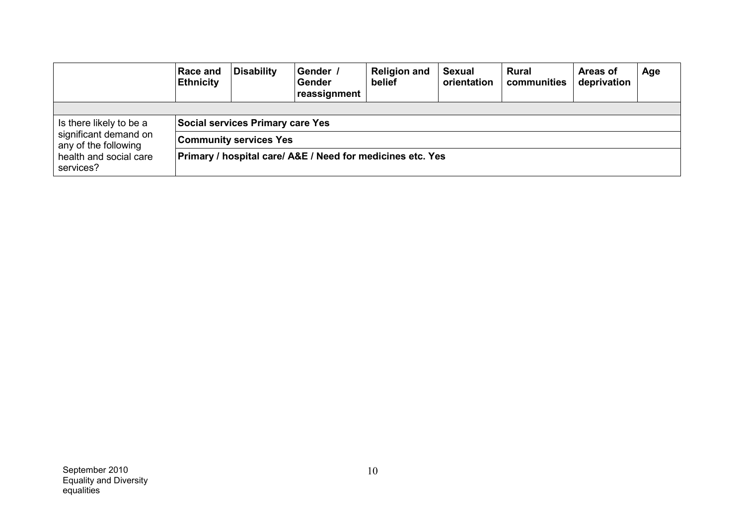|                                               | <b>Race and</b><br><b>Ethnicity</b>                        | Disability                              | Gender /<br>Gender<br>reassignment | <b>Religion and</b><br>belief | <b>Sexual</b><br>orientation | <b>Rural</b><br>communities | Areas of<br>deprivation | Age |
|-----------------------------------------------|------------------------------------------------------------|-----------------------------------------|------------------------------------|-------------------------------|------------------------------|-----------------------------|-------------------------|-----|
|                                               |                                                            |                                         |                                    |                               |                              |                             |                         |     |
| Is there likely to be a                       |                                                            | <b>Social services Primary care Yes</b> |                                    |                               |                              |                             |                         |     |
| significant demand on<br>any of the following | <b>Community services Yes</b>                              |                                         |                                    |                               |                              |                             |                         |     |
| health and social care<br>services?           | Primary / hospital care/ A&E / Need for medicines etc. Yes |                                         |                                    |                               |                              |                             |                         |     |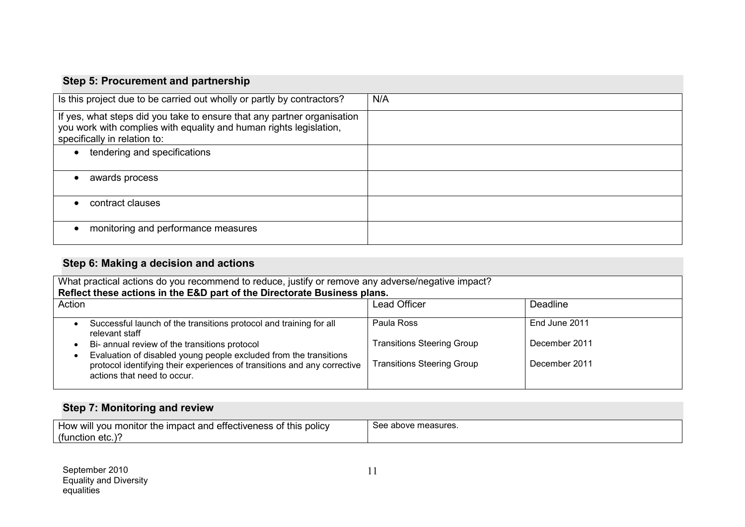### **Step 5: Procurement and partnership**

| Is this project due to be carried out wholly or partly by contractors?                                                                                                        | N/A |
|-------------------------------------------------------------------------------------------------------------------------------------------------------------------------------|-----|
| If yes, what steps did you take to ensure that any partner organisation<br>you work with complies with equality and human rights legislation,<br>specifically in relation to: |     |
| tendering and specifications<br>$\bullet$                                                                                                                                     |     |
| awards process<br>$\bullet$                                                                                                                                                   |     |
| contract clauses<br>$\epsilon$                                                                                                                                                |     |
| monitoring and performance measures<br>$\bullet$                                                                                                                              |     |

### **Step 6: Making <sup>a</sup> decision and actions**

| What practical actions do you recommend to reduce, justify or remove any adverse/negative impact?                                                                            |                                   |               |  |  |
|------------------------------------------------------------------------------------------------------------------------------------------------------------------------------|-----------------------------------|---------------|--|--|
| Reflect these actions in the E&D part of the Directorate Business plans.                                                                                                     |                                   |               |  |  |
| Action                                                                                                                                                                       | <b>Lead Officer</b>               | Deadline      |  |  |
| Successful launch of the transitions protocol and training for all<br>relevant staff                                                                                         | Paula Ross                        | End June 2011 |  |  |
| Bi- annual review of the transitions protocol                                                                                                                                | <b>Transitions Steering Group</b> | December 2011 |  |  |
| Evaluation of disabled young people excluded from the transitions<br>protocol identifying their experiences of transitions and any corrective<br>actions that need to occur. | <b>Transitions Steering Group</b> | December 2011 |  |  |

### **Step 7: Monitoring and review**

| or the impact and effectiveness of this policy<br>' vou monitor<br>HOW<br>∵WIII | See above measures. |
|---------------------------------------------------------------------------------|---------------------|
| (function etc.)                                                                 |                     |